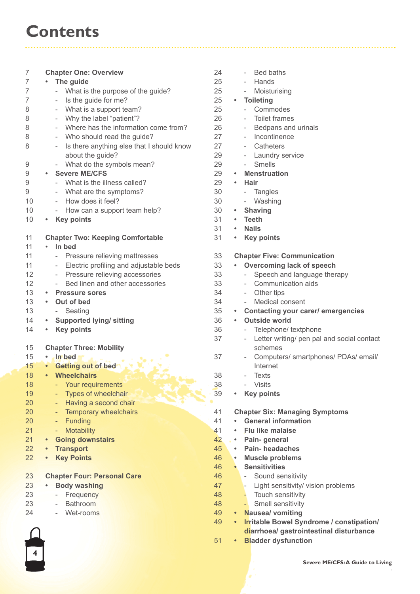## **Contents**

| 7  | <b>Chapter One: Overview</b>                                       | 24 | Bed baths                                                      |
|----|--------------------------------------------------------------------|----|----------------------------------------------------------------|
| 7  | The guide<br>$\bullet$                                             | 25 | Hands                                                          |
| 7  | - What is the purpose of the guide?                                | 25 | Moisturising<br>$\sim$                                         |
| 7  | Is the guide for me?                                               | 25 | <b>Toileting</b><br>$\bullet$                                  |
| 8  | What is a support team?<br>$-$                                     | 25 | Commodes<br>$\overline{\phantom{0}}$                           |
| 8  | Why the label "patient"?<br>$\overline{\phantom{a}}$               | 26 | <b>Toilet frames</b>                                           |
|    |                                                                    |    |                                                                |
| 8  | Where has the information come from?                               | 26 | Bedpans and urinals                                            |
| 8  | Who should read the guide?                                         | 27 | Incontinence                                                   |
| 8  | Is there anything else that I should know                          | 27 | Catheters                                                      |
|    | about the guide?                                                   | 29 | Laundry service<br>$\sim$                                      |
| 9  | What do the symbols mean?<br>$\sim$                                | 29 | Smells<br>$\sim$                                               |
| 9  | <b>Severe ME/CFS</b>                                               | 29 | <b>Menstruation</b><br>$\bullet$                               |
| 9  | - What is the illness called?                                      | 29 | <b>Hair</b><br>$\bullet$                                       |
|    |                                                                    | 30 |                                                                |
| 9  | What are the symptoms?                                             |    | - Tangles                                                      |
| 10 | How does it feel?<br>$\sim$                                        | 30 | - Washing                                                      |
| 10 | How can a support team help?<br>$\sim$                             | 30 | <b>Shaving</b><br>٠                                            |
| 10 | <b>Key points</b><br>$\bullet$                                     | 31 | <b>Teeth</b><br>$\bullet$                                      |
|    |                                                                    | 31 | <b>Nails</b><br>$\bullet$                                      |
| 11 | <b>Chapter Two: Keeping Comfortable</b>                            | 31 | <b>Key points</b><br>$\bullet$                                 |
| 11 | In bed<br>$\bullet$                                                |    |                                                                |
| 11 | - Pressure relieving mattresses                                    | 33 | <b>Chapter Five: Communication</b>                             |
| 11 | Electric profiling and adjustable beds<br>$\overline{\phantom{a}}$ | 33 | <b>Overcoming lack of speech</b>                               |
|    |                                                                    |    |                                                                |
| 12 | Pressure relieving accessories<br>$\overline{\phantom{a}}$         | 33 | Speech and language therapy<br>$\sim$                          |
| 12 | Bed linen and other accessories<br>$\sim$                          | 33 | Communication aids<br>$\sim$ 10 $\pm$                          |
| 13 | <b>Pressure sores</b><br>$\bullet$                                 | 34 | - Other tips                                                   |
| 13 | Out of bed<br>$\bullet$                                            | 34 | Medical consent                                                |
| 13 | - Seating                                                          | 35 | • Contacting your carer/ emergencies                           |
| 14 | <b>Supported lying/ sitting</b><br>٠                               | 36 | <b>Outside world</b>                                           |
| 14 | <b>Key points</b><br>$\bullet$                                     | 36 | Telephone/ textphone<br>$\overline{\phantom{a}}$               |
|    |                                                                    | 37 | Letter writing/ pen pal and social contact<br>$\sim$           |
| 15 | <b>Chapter Three: Mobility</b>                                     |    | schemes                                                        |
|    |                                                                    |    |                                                                |
| 15 | · In bed                                                           | 37 | Computers/ smartphones/ PDAs/ email/                           |
| 15 | <b>Getting out of bed</b>                                          |    | Internet                                                       |
| 18 | <b>Wheelchairs</b><br>$\bullet$                                    | 38 | <b>Texts</b>                                                   |
| 18 | Your requirements                                                  | 38 | - Visits                                                       |
| 19 | Types of wheelchair                                                | 39 | <b>Key points</b><br>$\bullet$                                 |
| 20 | Having a second chair                                              |    |                                                                |
| 20 | Temporary wheelchairs                                              | 41 | <b>Chapter Six: Managing Symptoms</b>                          |
| 20 | Funding<br>-                                                       | 41 | <b>General information</b>                                     |
| 21 | <b>Motability</b>                                                  | 41 | <b>Flu like malaise</b>                                        |
|    | -                                                                  |    |                                                                |
| 21 | <b>Going downstairs</b>                                            | 42 | Pain-general<br>$\bullet$                                      |
| 22 | <b>Transport</b><br>$\bullet$                                      | 45 | <b>Pain-headaches</b><br>$\bullet$                             |
| 22 | <b>Key Points</b><br>$\bullet$                                     | 46 | <b>Muscle problems</b><br>$\bullet$                            |
|    |                                                                    | 46 | <b>Sensitivities</b><br>$\bullet$                              |
| 23 | <b>Chapter Four: Personal Care</b>                                 | 46 | Sound sensitivity<br>$\sim$                                    |
| 23 | <b>Body washing</b>                                                | 47 | Light sensitivity/ vision problems                             |
| 23 | Frequency<br>$\overline{\phantom{a}}$                              | 48 | - Touch sensitivity                                            |
| 23 | <b>Bathroom</b><br>$\overline{\phantom{a}}$                        | 48 | Smell sensitivity<br>н.                                        |
| 24 | Wet-rooms                                                          | 49 | <b>Nausea/ vomiting</b><br>$\bullet$ .                         |
|    |                                                                    |    |                                                                |
|    |                                                                    | 49 | <b>Irritable Bowel Syndrome / constipation/</b><br>$\bullet$ . |
|    |                                                                    |    | diarrhoea/ gastrointestinal disturbance                        |
|    |                                                                    | 51 | <b>Bladder dysfunction</b><br>$\bullet$                        |

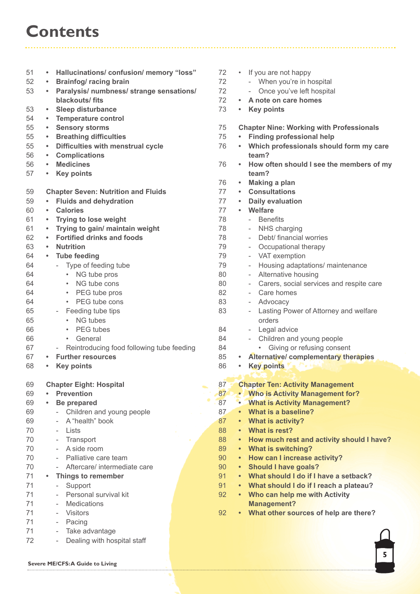## **Contents**

| 51 | Hallucinations/confusion/memory "loss"<br>$\bullet$   | 72 | If you are not happy<br>$\bullet$                         |
|----|-------------------------------------------------------|----|-----------------------------------------------------------|
| 52 | <b>Brainfog/ racing brain</b><br>$\bullet$            | 72 | - When you're in hospital                                 |
| 53 | Paralysis/ numbness/ strange sensations/<br>$\bullet$ | 72 | Once you've left hospital<br>$\overline{\phantom{a}}$     |
|    | blackouts/fits                                        | 72 | A note on care homes<br>$\bullet$                         |
| 53 | <b>Sleep disturbance</b><br>$\bullet$                 | 73 | <b>Key points</b><br>$\bullet$                            |
| 54 | <b>Temperature control</b><br>$\bullet$               |    |                                                           |
| 55 | <b>Sensory storms</b><br>$\bullet$                    | 75 | <b>Chapter Nine: Working with Profe</b>                   |
| 55 | <b>Breathing difficulties</b><br>$\bullet$            | 75 | <b>Finding professional help</b>                          |
| 55 | Difficulties with menstrual cycle<br>$\bullet$        | 76 | Which professionals should fo<br>٠                        |
| 56 | <b>Complications</b><br>$\bullet$                     |    | team?                                                     |
| 56 | <b>Medicines</b><br>$\bullet$                         | 76 | How often should I see the me                             |
| 57 | <b>Key points</b><br>$\bullet$                        |    | team?                                                     |
|    |                                                       | 76 | <b>Making a plan</b><br>۰                                 |
| 59 | <b>Chapter Seven: Nutrition and Fluids</b>            | 77 | <b>Consultations</b><br>$\bullet$                         |
| 59 | <b>Fluids and dehydration</b><br>$\bullet$            | 77 | <b>Daily evaluation</b><br>$\bullet$                      |
| 60 | <b>Calories</b><br>$\bullet$                          | 77 | Welfare<br>$\bullet$                                      |
| 61 | <b>Trying to lose weight</b><br>$\bullet$             | 78 | - Benefits                                                |
| 61 | Trying to gain/ maintain weight<br>$\bullet$          | 78 | NHS charging<br>$\overline{\phantom{a}}$                  |
| 62 | <b>Fortified drinks and foods</b><br>$\bullet$        | 78 | Debt/ financial worries                                   |
| 63 | <b>Nutrition</b><br>$\bullet$                         | 79 | Occupational therapy<br>$\overline{\phantom{a}}$          |
| 64 | <b>Tube feeding</b><br>$\bullet$                      | 79 | VAT exemption<br>$\overline{\phantom{a}}$                 |
| 64 | Type of feeding tube<br>$\overline{\phantom{a}}$      | 79 | Housing adaptations/ mainter<br>$\overline{\phantom{a}}$  |
| 64 | NG tube pros<br>$\bullet$ .                           | 80 | Alternative housing                                       |
| 64 | NG tube cons<br>$\bullet$                             | 80 | Carers, social services and re                            |
| 64 | PEG tube pros<br>٠                                    | 82 | Care homes                                                |
| 64 | PEG tube cons<br>$\bullet$                            | 83 | Advocacy<br>$\overline{\phantom{a}}$                      |
| 65 | - Feeding tube tips                                   | 83 | Lasting Power of Attorney and<br>$\overline{\phantom{a}}$ |
| 65 | <b>NG tubes</b><br>$\bullet$                          |    | orders                                                    |
| 66 | PEG tubes<br>$\bullet$                                | 84 | Legal advice                                              |
| 66 | General                                               | 84 | - Children and young people                               |
| 67 | Reintroducing food following tube feeding             | 84 | Giving or refusing consent                                |
| 67 | <b>Further resources</b><br>$\bullet$                 | 85 | Alternative/complementary th<br>٠                         |
| 68 | <b>Key points</b>                                     | 86 | <b>Key points</b>                                         |
|    |                                                       |    |                                                           |
| 69 | <b>Chapter Eight: Hospital</b>                        | 87 | <b>Chapter Ten: Activity Managemer</b>                    |
| 69 | <b>Prevention</b>                                     | 87 | • Who is Activity Management fo                           |
| 69 | <b>Be prepared</b>                                    | 87 | <b>What is Activity Management?</b>                       |
| 69 | Children and young people                             | 87 | What is a baseline?<br>$\bullet$                          |
| 69 | A "health" book<br>$\overline{\phantom{a}}$           | 87 | <b>What is activity?</b><br>٠                             |
| 70 | Lists<br>$\overline{\phantom{0}}$                     | 88 | What is rest?                                             |
| 70 | Transport                                             | 88 | How much rest and activity sh<br>$\bullet$                |
| 70 | A side room                                           | 89 | • What is switching?                                      |
| 70 | Palliative care team                                  | 90 | How can I increase activity?                              |
| 70 | Aftercare/ intermediate care                          | 90 | <b>Should I have goals?</b><br>$\bullet$                  |
| 71 | Things to remember<br>$\bullet$                       | 91 | • What should I do if I have a set                        |
| 71 | Support<br>$\sim$                                     | 91 | • What should I do if I reach a pl                        |
| 71 | Personal survival kit                                 | 92 | • Who can help me with Activity                           |
| 71 | <b>Medications</b><br>$\overline{\phantom{a}}$        |    | <b>Management?</b>                                        |
| 71 | <b>Visitors</b><br>$\overline{\phantom{0}}$           | 92 | What other sources of help are                            |
| 71 | Pacing<br>$\qquad \qquad -$                           |    |                                                           |
| 71 | Take advantage<br>$\overline{\phantom{a}}$            |    |                                                           |
| 72 | Dealing with hospital staff<br>$ \,$                  |    |                                                           |

are not happy hen you're in hospital nce you've left hospital 72 **• A note on care homes** 73 **• Key points Nine: Working with Professionals** 75 **• Finding professional help** 76 **• Which professionals should form my care** 76 **• How often should I see the members of my** 76 **• Making a plan** 77 **• Consultations** 77 **• Daily evaluation** 77 **• Welfare** enefits HS charging ebt/ financial worries ccupational therapy **T** exemption ousing adaptations/ maintenance ternative housing arers, social services and respite care are homes dvocacy asting Power of Attorney and welfare ders egal advice hildren and young people Giving or refusing consent 85 **• Alternative/ complementary therapies** 86 **• Key points Ten: Activity Management is Activity Management for? is Activity Management?**  $is a baseline?$ **is activity?** 88 **• What is rest?** 88 **• How much rest and activity should I have?**  $is$  switching? 90 **• How can I increase activity? d** I have goals? 91 **• What should I do if I have a setback?** 91 **• What should I do if I reach a plateau?**

92 **• What other sources of help are there?**

**5**